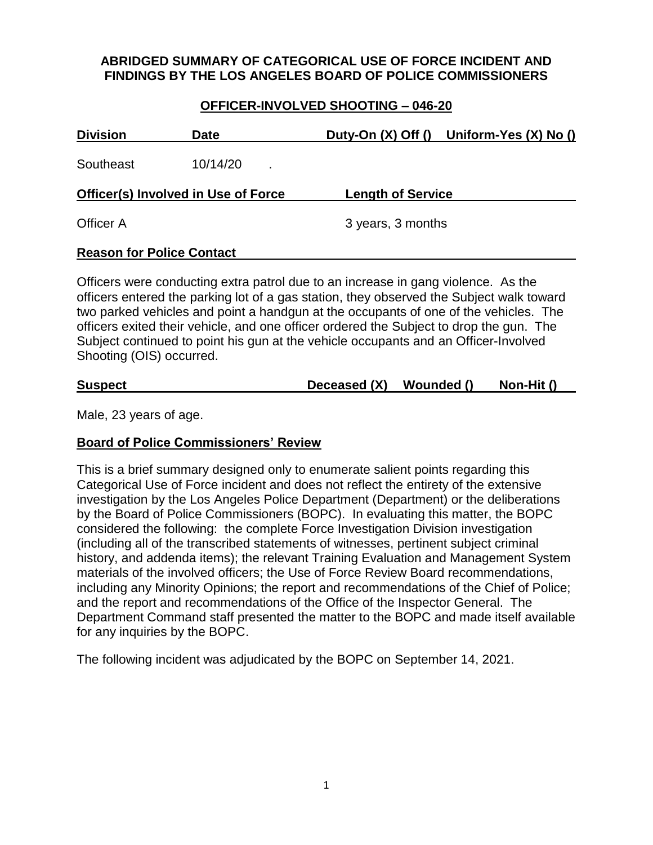## **ABRIDGED SUMMARY OF CATEGORICAL USE OF FORCE INCIDENT AND FINDINGS BY THE LOS ANGELES BOARD OF POLICE COMMISSIONERS**

#### **OFFICER-INVOLVED SHOOTING – 046-20**

| <b>Division</b> | <b>Date</b>                         | Duty-On (X) Off () Uniform-Yes (X) No () |
|-----------------|-------------------------------------|------------------------------------------|
| Southeast       | 10/14/20                            |                                          |
|                 | Officer(s) Involved in Use of Force | <b>Length of Service</b>                 |
| Officer A       |                                     | 3 years, 3 months                        |
|                 |                                     |                                          |

#### **Reason for Police Contact**

Officers were conducting extra patrol due to an increase in gang violence. As the officers entered the parking lot of a gas station, they observed the Subject walk toward two parked vehicles and point a handgun at the occupants of one of the vehicles. The officers exited their vehicle, and one officer ordered the Subject to drop the gun. The Subject continued to point his gun at the vehicle occupants and an Officer-Involved Shooting (OIS) occurred.

|  | <b>Suspect</b> | Deceased (X) | Wounded () | Non-Hit () |
|--|----------------|--------------|------------|------------|
|--|----------------|--------------|------------|------------|

Male, 23 years of age.

#### **Board of Police Commissioners' Review**

This is a brief summary designed only to enumerate salient points regarding this Categorical Use of Force incident and does not reflect the entirety of the extensive investigation by the Los Angeles Police Department (Department) or the deliberations by the Board of Police Commissioners (BOPC). In evaluating this matter, the BOPC considered the following: the complete Force Investigation Division investigation (including all of the transcribed statements of witnesses, pertinent subject criminal history, and addenda items); the relevant Training Evaluation and Management System materials of the involved officers; the Use of Force Review Board recommendations, including any Minority Opinions; the report and recommendations of the Chief of Police; and the report and recommendations of the Office of the Inspector General. The Department Command staff presented the matter to the BOPC and made itself available for any inquiries by the BOPC.

The following incident was adjudicated by the BOPC on September 14, 2021.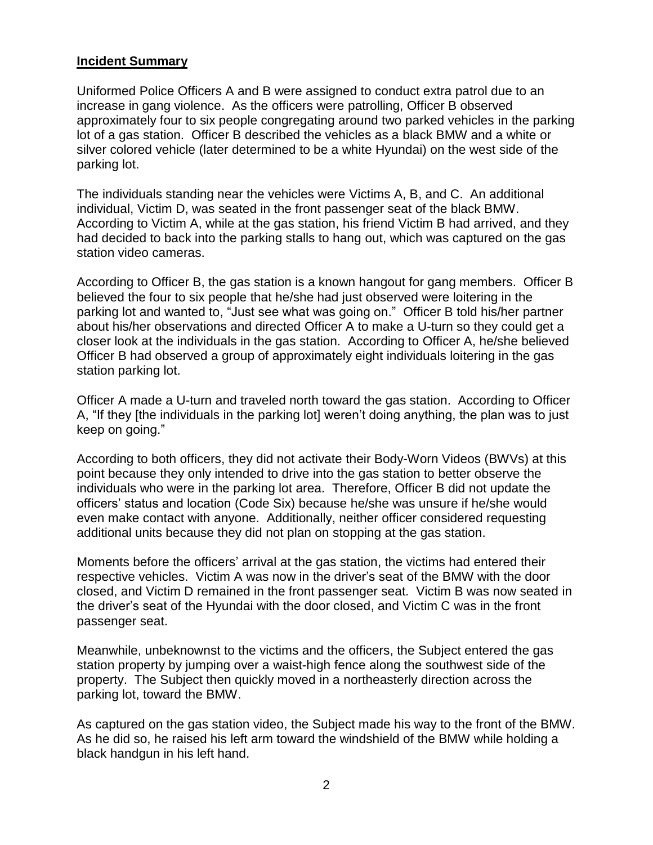#### **Incident Summary**

Uniformed Police Officers A and B were assigned to conduct extra patrol due to an increase in gang violence. As the officers were patrolling, Officer B observed approximately four to six people congregating around two parked vehicles in the parking lot of a gas station. Officer B described the vehicles as a black BMW and a white or silver colored vehicle (later determined to be a white Hyundai) on the west side of the parking lot.

The individuals standing near the vehicles were Victims A, B, and C. An additional individual, Victim D, was seated in the front passenger seat of the black BMW. According to Victim A, while at the gas station, his friend Victim B had arrived, and they had decided to back into the parking stalls to hang out, which was captured on the gas station video cameras.

According to Officer B, the gas station is a known hangout for gang members. Officer B believed the four to six people that he/she had just observed were loitering in the parking lot and wanted to, "Just see what was going on." Officer B told his/her partner about his/her observations and directed Officer A to make a U-turn so they could get a closer look at the individuals in the gas station. According to Officer A, he/she believed Officer B had observed a group of approximately eight individuals loitering in the gas station parking lot.

Officer A made a U-turn and traveled north toward the gas station. According to Officer A, "If they [the individuals in the parking lot] weren't doing anything, the plan was to just keep on going."

According to both officers, they did not activate their Body-Worn Videos (BWVs) at this point because they only intended to drive into the gas station to better observe the individuals who were in the parking lot area. Therefore, Officer B did not update the officers' status and location (Code Six) because he/she was unsure if he/she would even make contact with anyone. Additionally, neither officer considered requesting additional units because they did not plan on stopping at the gas station.

Moments before the officers' arrival at the gas station, the victims had entered their respective vehicles. Victim A was now in the driver's seat of the BMW with the door closed, and Victim D remained in the front passenger seat. Victim B was now seated in the driver's seat of the Hyundai with the door closed, and Victim C was in the front passenger seat.

Meanwhile, unbeknownst to the victims and the officers, the Subject entered the gas station property by jumping over a waist-high fence along the southwest side of the property. The Subject then quickly moved in a northeasterly direction across the parking lot, toward the BMW.

As captured on the gas station video, the Subject made his way to the front of the BMW. As he did so, he raised his left arm toward the windshield of the BMW while holding a black handgun in his left hand.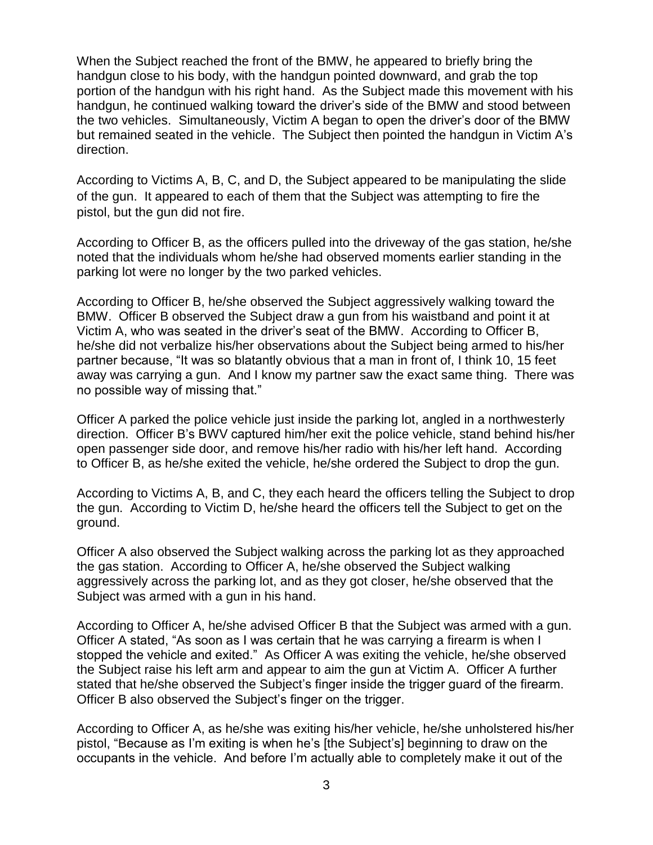When the Subject reached the front of the BMW, he appeared to briefly bring the handgun close to his body, with the handgun pointed downward, and grab the top portion of the handgun with his right hand. As the Subject made this movement with his handgun, he continued walking toward the driver's side of the BMW and stood between the two vehicles. Simultaneously, Victim A began to open the driver's door of the BMW but remained seated in the vehicle. The Subject then pointed the handgun in Victim A's direction.

According to Victims A, B, C, and D, the Subject appeared to be manipulating the slide of the gun. It appeared to each of them that the Subject was attempting to fire the pistol, but the gun did not fire.

According to Officer B, as the officers pulled into the driveway of the gas station, he/she noted that the individuals whom he/she had observed moments earlier standing in the parking lot were no longer by the two parked vehicles.

According to Officer B, he/she observed the Subject aggressively walking toward the BMW. Officer B observed the Subject draw a gun from his waistband and point it at Victim A, who was seated in the driver's seat of the BMW. According to Officer B, he/she did not verbalize his/her observations about the Subject being armed to his/her partner because, "It was so blatantly obvious that a man in front of, I think 10, 15 feet away was carrying a gun. And I know my partner saw the exact same thing. There was no possible way of missing that."

Officer A parked the police vehicle just inside the parking lot, angled in a northwesterly direction. Officer B's BWV captured him/her exit the police vehicle, stand behind his/her open passenger side door, and remove his/her radio with his/her left hand. According to Officer B, as he/she exited the vehicle, he/she ordered the Subject to drop the gun.

According to Victims A, B, and C, they each heard the officers telling the Subject to drop the gun. According to Victim D, he/she heard the officers tell the Subject to get on the ground.

Officer A also observed the Subject walking across the parking lot as they approached the gas station. According to Officer A, he/she observed the Subject walking aggressively across the parking lot, and as they got closer, he/she observed that the Subject was armed with a gun in his hand.

According to Officer A, he/she advised Officer B that the Subject was armed with a gun. Officer A stated, "As soon as I was certain that he was carrying a firearm is when I stopped the vehicle and exited." As Officer A was exiting the vehicle, he/she observed the Subject raise his left arm and appear to aim the gun at Victim A. Officer A further stated that he/she observed the Subject's finger inside the trigger guard of the firearm. Officer B also observed the Subject's finger on the trigger.

According to Officer A, as he/she was exiting his/her vehicle, he/she unholstered his/her pistol, "Because as I'm exiting is when he's [the Subject's] beginning to draw on the occupants in the vehicle. And before I'm actually able to completely make it out of the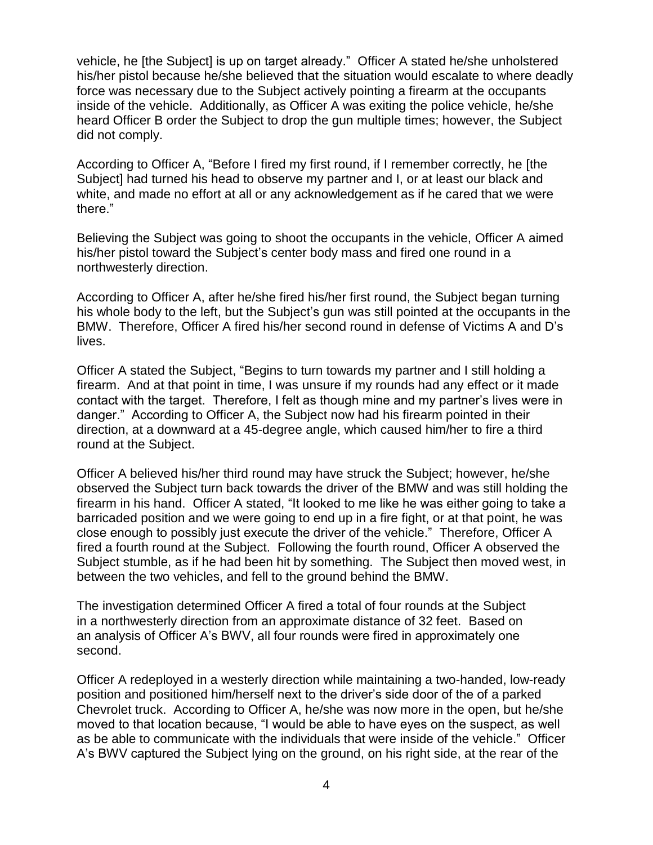vehicle, he [the Subject] is up on target already." Officer A stated he/she unholstered his/her pistol because he/she believed that the situation would escalate to where deadly force was necessary due to the Subject actively pointing a firearm at the occupants inside of the vehicle. Additionally, as Officer A was exiting the police vehicle, he/she heard Officer B order the Subject to drop the gun multiple times; however, the Subject did not comply.

According to Officer A, "Before I fired my first round, if I remember correctly, he [the Subject] had turned his head to observe my partner and I, or at least our black and white, and made no effort at all or any acknowledgement as if he cared that we were there."

Believing the Subject was going to shoot the occupants in the vehicle, Officer A aimed his/her pistol toward the Subject's center body mass and fired one round in a northwesterly direction.

According to Officer A, after he/she fired his/her first round, the Subject began turning his whole body to the left, but the Subject's gun was still pointed at the occupants in the BMW. Therefore, Officer A fired his/her second round in defense of Victims A and D's lives.

Officer A stated the Subject, "Begins to turn towards my partner and I still holding a firearm. And at that point in time, I was unsure if my rounds had any effect or it made contact with the target. Therefore, I felt as though mine and my partner's lives were in danger." According to Officer A, the Subject now had his firearm pointed in their direction, at a downward at a 45-degree angle, which caused him/her to fire a third round at the Subject.

Officer A believed his/her third round may have struck the Subject; however, he/she observed the Subject turn back towards the driver of the BMW and was still holding the firearm in his hand. Officer A stated, "It looked to me like he was either going to take a barricaded position and we were going to end up in a fire fight, or at that point, he was close enough to possibly just execute the driver of the vehicle." Therefore, Officer A fired a fourth round at the Subject. Following the fourth round, Officer A observed the Subject stumble, as if he had been hit by something. The Subject then moved west, in between the two vehicles, and fell to the ground behind the BMW.

The investigation determined Officer A fired a total of four rounds at the Subject in a northwesterly direction from an approximate distance of 32 feet. Based on an analysis of Officer A's BWV, all four rounds were fired in approximately one second.

Officer A redeployed in a westerly direction while maintaining a two-handed, low-ready position and positioned him/herself next to the driver's side door of the of a parked Chevrolet truck. According to Officer A, he/she was now more in the open, but he/she moved to that location because, "I would be able to have eyes on the suspect, as well as be able to communicate with the individuals that were inside of the vehicle." Officer A's BWV captured the Subject lying on the ground, on his right side, at the rear of the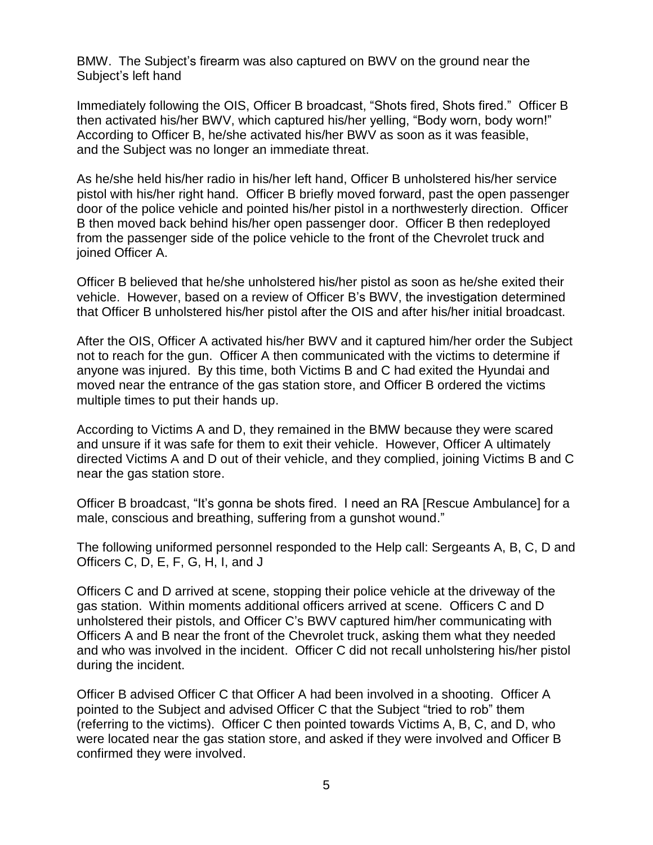BMW. The Subject's firearm was also captured on BWV on the ground near the Subject's left hand

Immediately following the OIS, Officer B broadcast, "Shots fired, Shots fired." Officer B then activated his/her BWV, which captured his/her yelling, "Body worn, body worn!" According to Officer B, he/she activated his/her BWV as soon as it was feasible, and the Subject was no longer an immediate threat.

As he/she held his/her radio in his/her left hand, Officer B unholstered his/her service pistol with his/her right hand. Officer B briefly moved forward, past the open passenger door of the police vehicle and pointed his/her pistol in a northwesterly direction. Officer B then moved back behind his/her open passenger door. Officer B then redeployed from the passenger side of the police vehicle to the front of the Chevrolet truck and joined Officer A.

Officer B believed that he/she unholstered his/her pistol as soon as he/she exited their vehicle. However, based on a review of Officer B's BWV, the investigation determined that Officer B unholstered his/her pistol after the OIS and after his/her initial broadcast.

After the OIS, Officer A activated his/her BWV and it captured him/her order the Subject not to reach for the gun. Officer A then communicated with the victims to determine if anyone was injured. By this time, both Victims B and C had exited the Hyundai and moved near the entrance of the gas station store, and Officer B ordered the victims multiple times to put their hands up.

According to Victims A and D, they remained in the BMW because they were scared and unsure if it was safe for them to exit their vehicle. However, Officer A ultimately directed Victims A and D out of their vehicle, and they complied, joining Victims B and C near the gas station store.

Officer B broadcast, "It's gonna be shots fired. I need an RA [Rescue Ambulance] for a male, conscious and breathing, suffering from a gunshot wound."

The following uniformed personnel responded to the Help call: Sergeants A, B, C, D and Officers C, D, E, F, G, H, I, and J

Officers C and D arrived at scene, stopping their police vehicle at the driveway of the gas station. Within moments additional officers arrived at scene. Officers C and D unholstered their pistols, and Officer C's BWV captured him/her communicating with Officers A and B near the front of the Chevrolet truck, asking them what they needed and who was involved in the incident. Officer C did not recall unholstering his/her pistol during the incident.

Officer B advised Officer C that Officer A had been involved in a shooting. Officer A pointed to the Subject and advised Officer C that the Subject "tried to rob" them (referring to the victims). Officer C then pointed towards Victims A, B, C, and D, who were located near the gas station store, and asked if they were involved and Officer B confirmed they were involved.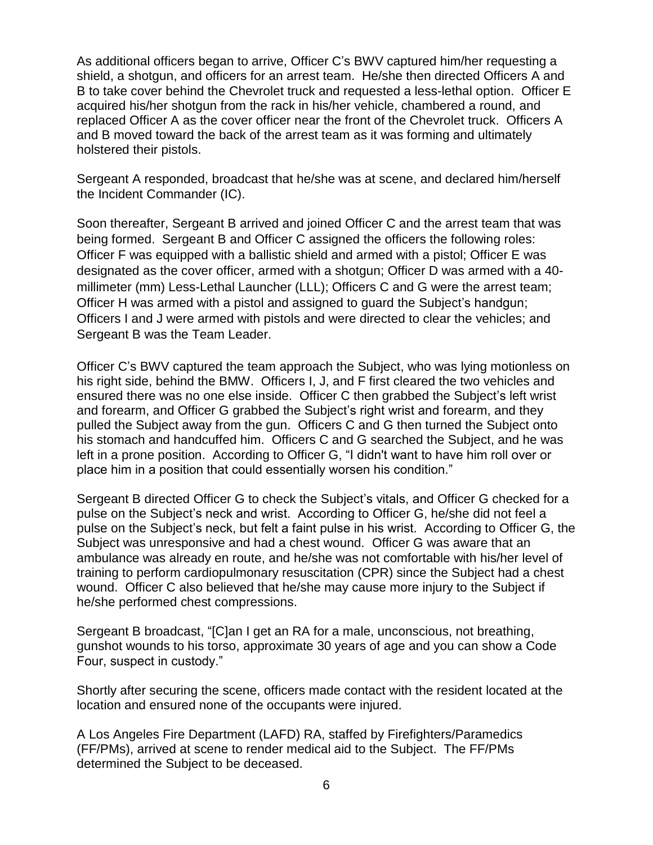As additional officers began to arrive, Officer C's BWV captured him/her requesting a shield, a shotgun, and officers for an arrest team. He/she then directed Officers A and B to take cover behind the Chevrolet truck and requested a less-lethal option. Officer E acquired his/her shotgun from the rack in his/her vehicle, chambered a round, and replaced Officer A as the cover officer near the front of the Chevrolet truck. Officers A and B moved toward the back of the arrest team as it was forming and ultimately holstered their pistols.

Sergeant A responded, broadcast that he/she was at scene, and declared him/herself the Incident Commander (IC).

Soon thereafter, Sergeant B arrived and joined Officer C and the arrest team that was being formed. Sergeant B and Officer C assigned the officers the following roles: Officer F was equipped with a ballistic shield and armed with a pistol; Officer E was designated as the cover officer, armed with a shotgun; Officer D was armed with a 40 millimeter (mm) Less-Lethal Launcher (LLL); Officers C and G were the arrest team; Officer H was armed with a pistol and assigned to guard the Subject's handgun; Officers I and J were armed with pistols and were directed to clear the vehicles; and Sergeant B was the Team Leader.

Officer C's BWV captured the team approach the Subject, who was lying motionless on his right side, behind the BMW. Officers I, J, and F first cleared the two vehicles and ensured there was no one else inside. Officer C then grabbed the Subject's left wrist and forearm, and Officer G grabbed the Subject's right wrist and forearm, and they pulled the Subject away from the gun. Officers C and G then turned the Subject onto his stomach and handcuffed him. Officers C and G searched the Subject, and he was left in a prone position. According to Officer G, "I didn't want to have him roll over or place him in a position that could essentially worsen his condition."

Sergeant B directed Officer G to check the Subject's vitals, and Officer G checked for a pulse on the Subject's neck and wrist. According to Officer G, he/she did not feel a pulse on the Subject's neck, but felt a faint pulse in his wrist. According to Officer G, the Subject was unresponsive and had a chest wound. Officer G was aware that an ambulance was already en route, and he/she was not comfortable with his/her level of training to perform cardiopulmonary resuscitation (CPR) since the Subject had a chest wound. Officer C also believed that he/she may cause more injury to the Subject if he/she performed chest compressions.

Sergeant B broadcast, "[C]an I get an RA for a male, unconscious, not breathing, gunshot wounds to his torso, approximate 30 years of age and you can show a Code Four, suspect in custody."

Shortly after securing the scene, officers made contact with the resident located at the location and ensured none of the occupants were injured.

A Los Angeles Fire Department (LAFD) RA, staffed by Firefighters/Paramedics (FF/PMs), arrived at scene to render medical aid to the Subject. The FF/PMs determined the Subject to be deceased.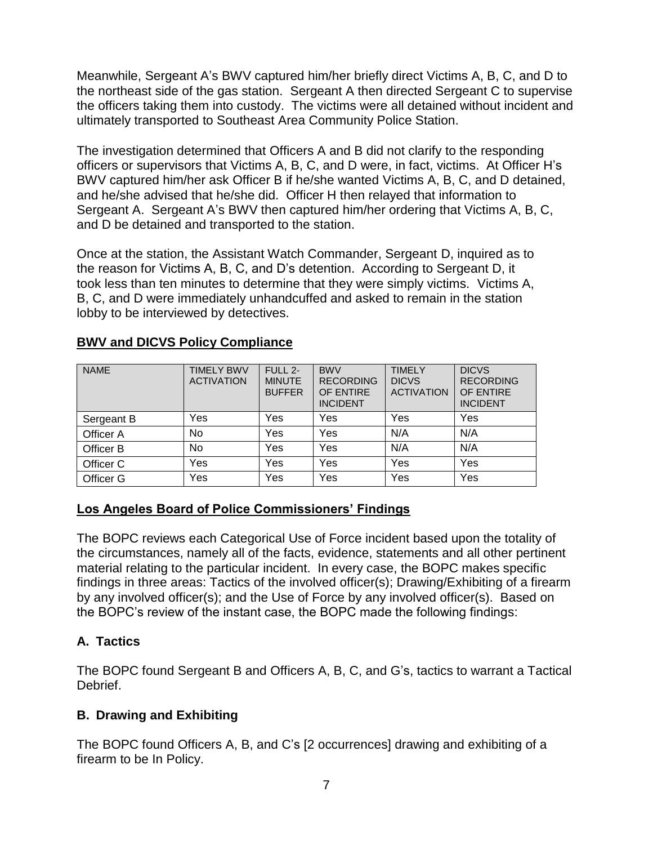Meanwhile, Sergeant A's BWV captured him/her briefly direct Victims A, B, C, and D to the northeast side of the gas station. Sergeant A then directed Sergeant C to supervise the officers taking them into custody. The victims were all detained without incident and ultimately transported to Southeast Area Community Police Station.

The investigation determined that Officers A and B did not clarify to the responding officers or supervisors that Victims A, B, C, and D were, in fact, victims. At Officer H's BWV captured him/her ask Officer B if he/she wanted Victims A, B, C, and D detained, and he/she advised that he/she did. Officer H then relayed that information to Sergeant A. Sergeant A's BWV then captured him/her ordering that Victims A, B, C, and D be detained and transported to the station.

Once at the station, the Assistant Watch Commander, Sergeant D, inquired as to the reason for Victims A, B, C, and D's detention. According to Sergeant D, it took less than ten minutes to determine that they were simply victims. Victims A, B, C, and D were immediately unhandcuffed and asked to remain in the station lobby to be interviewed by detectives.

| <b>NAME</b> | <b>TIMELY BWV</b><br><b>ACTIVATION</b> | FULL 2-<br><b>MINUTE</b><br><b>BUFFER</b> | <b>BWV</b><br><b>RECORDING</b><br>OF ENTIRE<br><b>INCIDENT</b> | <b>TIMELY</b><br><b>DICVS</b><br><b>ACTIVATION</b> | <b>DICVS</b><br><b>RECORDING</b><br>OF ENTIRE<br><b>INCIDENT</b> |
|-------------|----------------------------------------|-------------------------------------------|----------------------------------------------------------------|----------------------------------------------------|------------------------------------------------------------------|
| Sergeant B  | Yes                                    | Yes                                       | Yes                                                            | Yes                                                | Yes                                                              |
| Officer A   | No                                     | Yes                                       | Yes                                                            | N/A                                                | N/A                                                              |
| Officer B   | No                                     | Yes                                       | Yes                                                            | N/A                                                | N/A                                                              |
| Officer C   | Yes                                    | Yes                                       | Yes                                                            | Yes                                                | Yes                                                              |
| Officer G   | Yes                                    | Yes                                       | Yes                                                            | Yes                                                | Yes                                                              |

#### **BWV and DICVS Policy Compliance**

#### **Los Angeles Board of Police Commissioners' Findings**

The BOPC reviews each Categorical Use of Force incident based upon the totality of the circumstances, namely all of the facts, evidence, statements and all other pertinent material relating to the particular incident. In every case, the BOPC makes specific findings in three areas: Tactics of the involved officer(s); Drawing/Exhibiting of a firearm by any involved officer(s); and the Use of Force by any involved officer(s). Based on the BOPC's review of the instant case, the BOPC made the following findings:

# **A. Tactics**

The BOPC found Sergeant B and Officers A, B, C, and G's, tactics to warrant a Tactical Debrief.

# **B. Drawing and Exhibiting**

The BOPC found Officers A, B, and C's [2 occurrences] drawing and exhibiting of a firearm to be In Policy.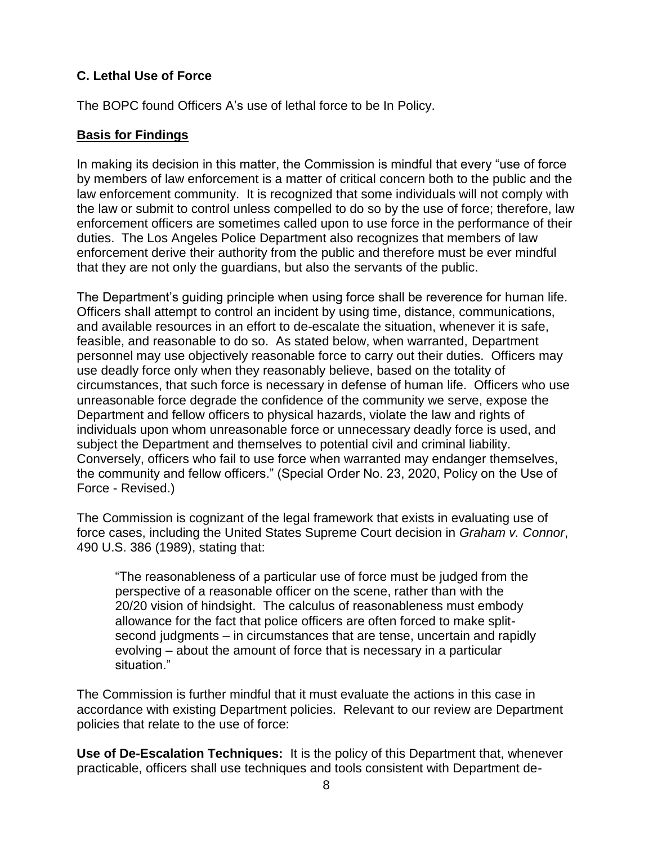# **C. Lethal Use of Force**

The BOPC found Officers A's use of lethal force to be In Policy.

### **Basis for Findings**

In making its decision in this matter, the Commission is mindful that every "use of force by members of law enforcement is a matter of critical concern both to the public and the law enforcement community. It is recognized that some individuals will not comply with the law or submit to control unless compelled to do so by the use of force; therefore, law enforcement officers are sometimes called upon to use force in the performance of their duties. The Los Angeles Police Department also recognizes that members of law enforcement derive their authority from the public and therefore must be ever mindful that they are not only the guardians, but also the servants of the public.

The Department's guiding principle when using force shall be reverence for human life. Officers shall attempt to control an incident by using time, distance, communications, and available resources in an effort to de-escalate the situation, whenever it is safe, feasible, and reasonable to do so. As stated below, when warranted, Department personnel may use objectively reasonable force to carry out their duties. Officers may use deadly force only when they reasonably believe, based on the totality of circumstances, that such force is necessary in defense of human life. Officers who use unreasonable force degrade the confidence of the community we serve, expose the Department and fellow officers to physical hazards, violate the law and rights of individuals upon whom unreasonable force or unnecessary deadly force is used, and subject the Department and themselves to potential civil and criminal liability. Conversely, officers who fail to use force when warranted may endanger themselves, the community and fellow officers." (Special Order No. 23, 2020, Policy on the Use of Force - Revised.)

The Commission is cognizant of the legal framework that exists in evaluating use of force cases, including the United States Supreme Court decision in *Graham v. Connor*, 490 U.S. 386 (1989), stating that:

"The reasonableness of a particular use of force must be judged from the perspective of a reasonable officer on the scene, rather than with the 20/20 vision of hindsight. The calculus of reasonableness must embody allowance for the fact that police officers are often forced to make splitsecond judgments – in circumstances that are tense, uncertain and rapidly evolving – about the amount of force that is necessary in a particular situation."

The Commission is further mindful that it must evaluate the actions in this case in accordance with existing Department policies. Relevant to our review are Department policies that relate to the use of force:

**Use of De-Escalation Techniques:** It is the policy of this Department that, whenever practicable, officers shall use techniques and tools consistent with Department de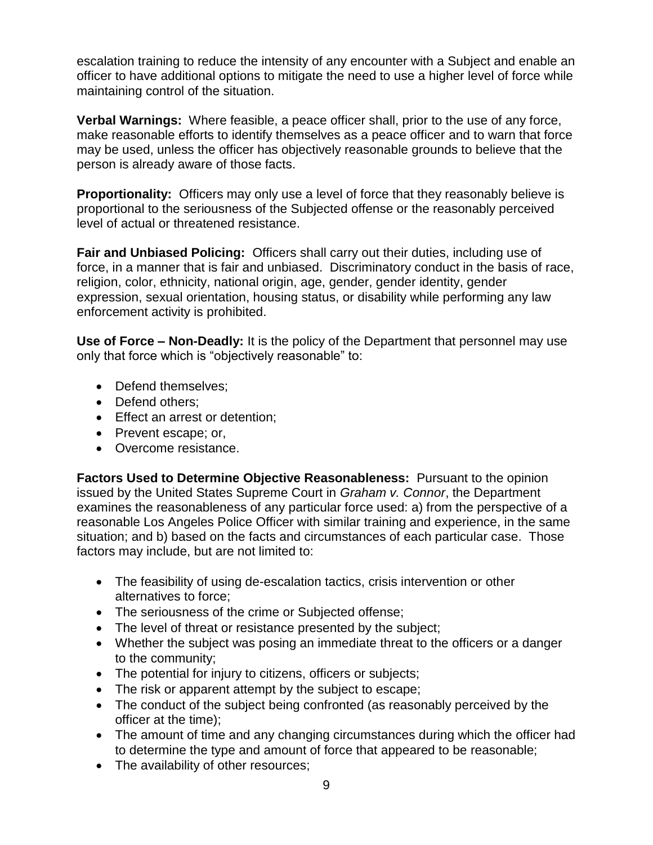escalation training to reduce the intensity of any encounter with a Subject and enable an officer to have additional options to mitigate the need to use a higher level of force while maintaining control of the situation.

**Verbal Warnings:** Where feasible, a peace officer shall, prior to the use of any force, make reasonable efforts to identify themselves as a peace officer and to warn that force may be used, unless the officer has objectively reasonable grounds to believe that the person is already aware of those facts.

**Proportionality:** Officers may only use a level of force that they reasonably believe is proportional to the seriousness of the Subjected offense or the reasonably perceived level of actual or threatened resistance.

**Fair and Unbiased Policing:** Officers shall carry out their duties, including use of force, in a manner that is fair and unbiased. Discriminatory conduct in the basis of race, religion, color, ethnicity, national origin, age, gender, gender identity, gender expression, sexual orientation, housing status, or disability while performing any law enforcement activity is prohibited.

**Use of Force – Non-Deadly:** It is the policy of the Department that personnel may use only that force which is "objectively reasonable" to:

- Defend themselves;
- Defend others:
- Effect an arrest or detention;
- Prevent escape; or,
- Overcome resistance.

**Factors Used to Determine Objective Reasonableness:** Pursuant to the opinion issued by the United States Supreme Court in *Graham v. Connor*, the Department examines the reasonableness of any particular force used: a) from the perspective of a reasonable Los Angeles Police Officer with similar training and experience, in the same situation; and b) based on the facts and circumstances of each particular case. Those factors may include, but are not limited to:

- The feasibility of using de-escalation tactics, crisis intervention or other alternatives to force;
- The seriousness of the crime or Subjected offense;
- The level of threat or resistance presented by the subject;
- Whether the subject was posing an immediate threat to the officers or a danger to the community;
- The potential for injury to citizens, officers or subjects;
- The risk or apparent attempt by the subject to escape;
- The conduct of the subject being confronted (as reasonably perceived by the officer at the time);
- The amount of time and any changing circumstances during which the officer had to determine the type and amount of force that appeared to be reasonable;
- The availability of other resources;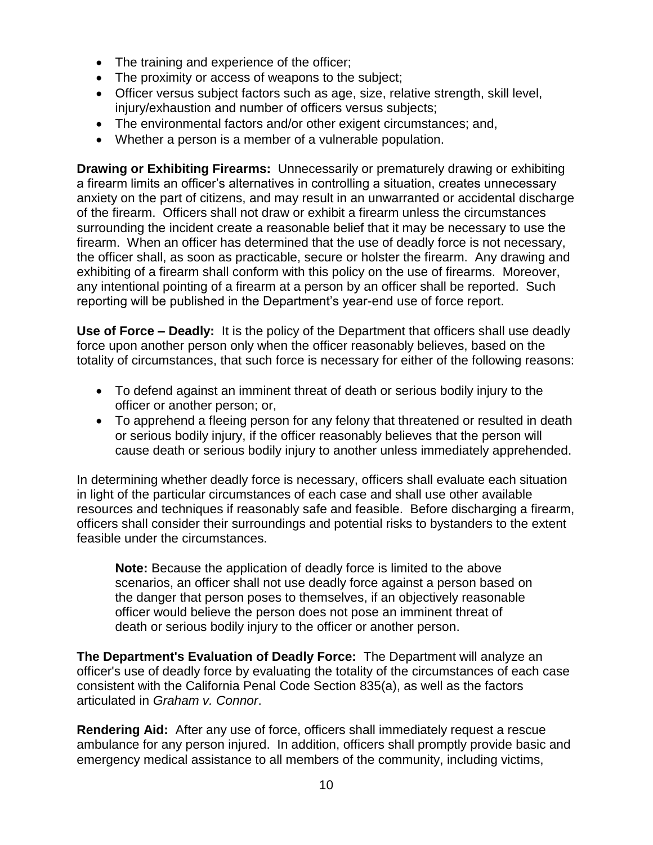- The training and experience of the officer;
- The proximity or access of weapons to the subject;
- Officer versus subject factors such as age, size, relative strength, skill level, injury/exhaustion and number of officers versus subjects;
- The environmental factors and/or other exigent circumstances; and,
- Whether a person is a member of a vulnerable population.

**Drawing or Exhibiting Firearms:** Unnecessarily or prematurely drawing or exhibiting a firearm limits an officer's alternatives in controlling a situation, creates unnecessary anxiety on the part of citizens, and may result in an unwarranted or accidental discharge of the firearm. Officers shall not draw or exhibit a firearm unless the circumstances surrounding the incident create a reasonable belief that it may be necessary to use the firearm. When an officer has determined that the use of deadly force is not necessary, the officer shall, as soon as practicable, secure or holster the firearm. Any drawing and exhibiting of a firearm shall conform with this policy on the use of firearms. Moreover, any intentional pointing of a firearm at a person by an officer shall be reported. Such reporting will be published in the Department's year-end use of force report.

**Use of Force – Deadly:** It is the policy of the Department that officers shall use deadly force upon another person only when the officer reasonably believes, based on the totality of circumstances, that such force is necessary for either of the following reasons:

- To defend against an imminent threat of death or serious bodily injury to the officer or another person; or,
- To apprehend a fleeing person for any felony that threatened or resulted in death or serious bodily injury, if the officer reasonably believes that the person will cause death or serious bodily injury to another unless immediately apprehended.

In determining whether deadly force is necessary, officers shall evaluate each situation in light of the particular circumstances of each case and shall use other available resources and techniques if reasonably safe and feasible. Before discharging a firearm, officers shall consider their surroundings and potential risks to bystanders to the extent feasible under the circumstances.

**Note:** Because the application of deadly force is limited to the above scenarios, an officer shall not use deadly force against a person based on the danger that person poses to themselves, if an objectively reasonable officer would believe the person does not pose an imminent threat of death or serious bodily injury to the officer or another person.

**The Department's Evaluation of Deadly Force:** The Department will analyze an officer's use of deadly force by evaluating the totality of the circumstances of each case consistent with the California Penal Code Section 835(a), as well as the factors articulated in *Graham v. Connor*.

**Rendering Aid:** After any use of force, officers shall immediately request a rescue ambulance for any person injured. In addition, officers shall promptly provide basic and emergency medical assistance to all members of the community, including victims,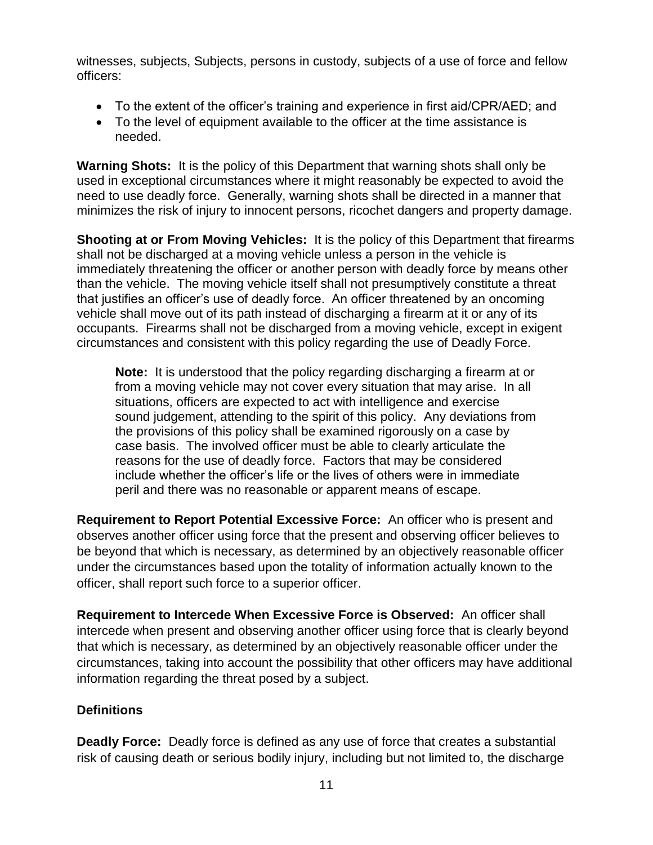witnesses, subjects, Subjects, persons in custody, subjects of a use of force and fellow officers:

- To the extent of the officer's training and experience in first aid/CPR/AED; and
- To the level of equipment available to the officer at the time assistance is needed.

**Warning Shots:** It is the policy of this Department that warning shots shall only be used in exceptional circumstances where it might reasonably be expected to avoid the need to use deadly force. Generally, warning shots shall be directed in a manner that minimizes the risk of injury to innocent persons, ricochet dangers and property damage.

**Shooting at or From Moving Vehicles:** It is the policy of this Department that firearms shall not be discharged at a moving vehicle unless a person in the vehicle is immediately threatening the officer or another person with deadly force by means other than the vehicle. The moving vehicle itself shall not presumptively constitute a threat that justifies an officer's use of deadly force. An officer threatened by an oncoming vehicle shall move out of its path instead of discharging a firearm at it or any of its occupants. Firearms shall not be discharged from a moving vehicle, except in exigent circumstances and consistent with this policy regarding the use of Deadly Force.

**Note:** It is understood that the policy regarding discharging a firearm at or from a moving vehicle may not cover every situation that may arise. In all situations, officers are expected to act with intelligence and exercise sound judgement, attending to the spirit of this policy. Any deviations from the provisions of this policy shall be examined rigorously on a case by case basis. The involved officer must be able to clearly articulate the reasons for the use of deadly force. Factors that may be considered include whether the officer's life or the lives of others were in immediate peril and there was no reasonable or apparent means of escape.

**Requirement to Report Potential Excessive Force:** An officer who is present and observes another officer using force that the present and observing officer believes to be beyond that which is necessary, as determined by an objectively reasonable officer under the circumstances based upon the totality of information actually known to the officer, shall report such force to a superior officer.

**Requirement to Intercede When Excessive Force is Observed:** An officer shall intercede when present and observing another officer using force that is clearly beyond that which is necessary, as determined by an objectively reasonable officer under the circumstances, taking into account the possibility that other officers may have additional information regarding the threat posed by a subject.

## **Definitions**

**Deadly Force:** Deadly force is defined as any use of force that creates a substantial risk of causing death or serious bodily injury, including but not limited to, the discharge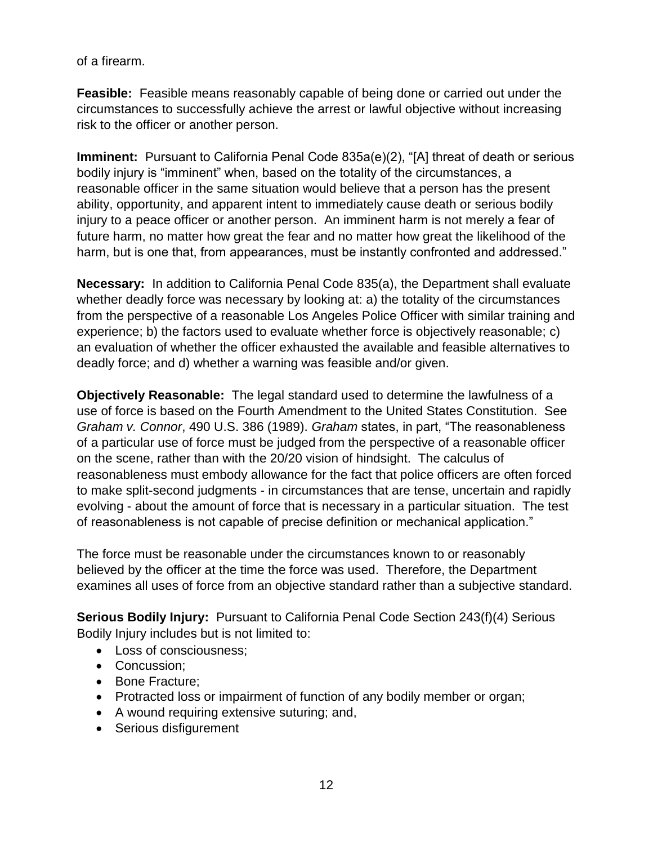of a firearm.

**Feasible:** Feasible means reasonably capable of being done or carried out under the circumstances to successfully achieve the arrest or lawful objective without increasing risk to the officer or another person.

**Imminent:** Pursuant to California Penal Code 835a(e)(2), "[A] threat of death or serious bodily injury is "imminent" when, based on the totality of the circumstances, a reasonable officer in the same situation would believe that a person has the present ability, opportunity, and apparent intent to immediately cause death or serious bodily injury to a peace officer or another person. An imminent harm is not merely a fear of future harm, no matter how great the fear and no matter how great the likelihood of the harm, but is one that, from appearances, must be instantly confronted and addressed."

**Necessary:** In addition to California Penal Code 835(a), the Department shall evaluate whether deadly force was necessary by looking at: a) the totality of the circumstances from the perspective of a reasonable Los Angeles Police Officer with similar training and experience; b) the factors used to evaluate whether force is objectively reasonable; c) an evaluation of whether the officer exhausted the available and feasible alternatives to deadly force; and d) whether a warning was feasible and/or given.

**Objectively Reasonable:** The legal standard used to determine the lawfulness of a use of force is based on the Fourth Amendment to the United States Constitution. See *Graham v. Connor*, 490 U.S. 386 (1989). *Graham* states, in part, "The reasonableness of a particular use of force must be judged from the perspective of a reasonable officer on the scene, rather than with the 20/20 vision of hindsight. The calculus of reasonableness must embody allowance for the fact that police officers are often forced to make split-second judgments - in circumstances that are tense, uncertain and rapidly evolving - about the amount of force that is necessary in a particular situation. The test of reasonableness is not capable of precise definition or mechanical application."

The force must be reasonable under the circumstances known to or reasonably believed by the officer at the time the force was used. Therefore, the Department examines all uses of force from an objective standard rather than a subjective standard.

**Serious Bodily Injury:** Pursuant to California Penal Code Section 243(f)(4) Serious Bodily Injury includes but is not limited to:

- Loss of consciousness;
- Concussion;
- Bone Fracture;
- Protracted loss or impairment of function of any bodily member or organ;
- A wound requiring extensive suturing; and,
- Serious disfigurement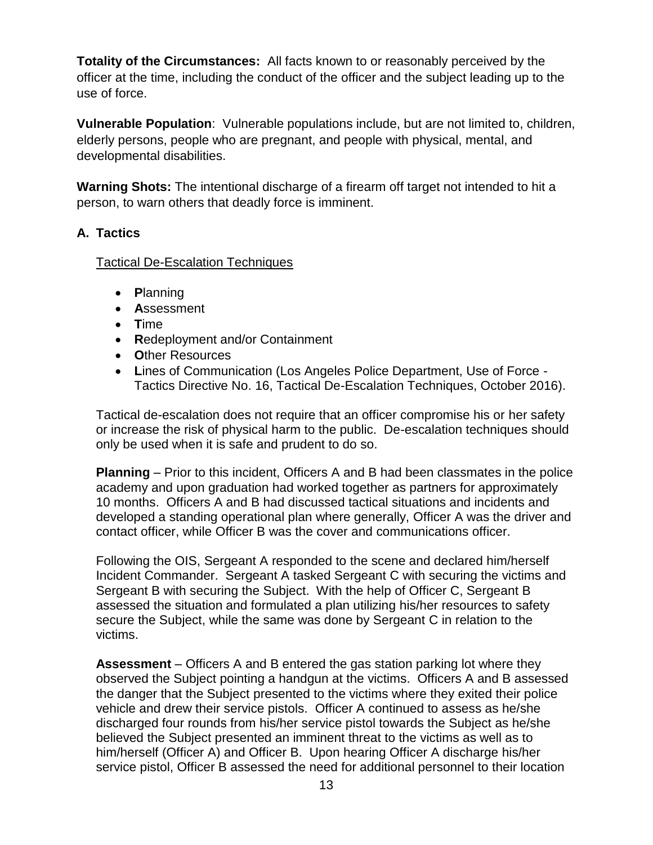**Totality of the Circumstances:** All facts known to or reasonably perceived by the officer at the time, including the conduct of the officer and the subject leading up to the use of force.

**Vulnerable Population**: Vulnerable populations include, but are not limited to, children, elderly persons, people who are pregnant, and people with physical, mental, and developmental disabilities.

**Warning Shots:** The intentional discharge of a firearm off target not intended to hit a person, to warn others that deadly force is imminent.

## **A. Tactics**

Tactical De-Escalation Techniques

- **P**lanning
- **A**ssessment
- **T**ime
- **R**edeployment and/or Containment
- **O**ther Resources
- **L**ines of Communication (Los Angeles Police Department, Use of Force Tactics Directive No. 16, Tactical De-Escalation Techniques, October 2016).

Tactical de-escalation does not require that an officer compromise his or her safety or increase the risk of physical harm to the public. De-escalation techniques should only be used when it is safe and prudent to do so.

**Planning** – Prior to this incident, Officers A and B had been classmates in the police academy and upon graduation had worked together as partners for approximately 10 months. Officers A and B had discussed tactical situations and incidents and developed a standing operational plan where generally, Officer A was the driver and contact officer, while Officer B was the cover and communications officer.

Following the OIS, Sergeant A responded to the scene and declared him/herself Incident Commander. Sergeant A tasked Sergeant C with securing the victims and Sergeant B with securing the Subject. With the help of Officer C, Sergeant B assessed the situation and formulated a plan utilizing his/her resources to safety secure the Subject, while the same was done by Sergeant C in relation to the victims.

**Assessment** – Officers A and B entered the gas station parking lot where they observed the Subject pointing a handgun at the victims. Officers A and B assessed the danger that the Subject presented to the victims where they exited their police vehicle and drew their service pistols. Officer A continued to assess as he/she discharged four rounds from his/her service pistol towards the Subject as he/she believed the Subject presented an imminent threat to the victims as well as to him/herself (Officer A) and Officer B. Upon hearing Officer A discharge his/her service pistol, Officer B assessed the need for additional personnel to their location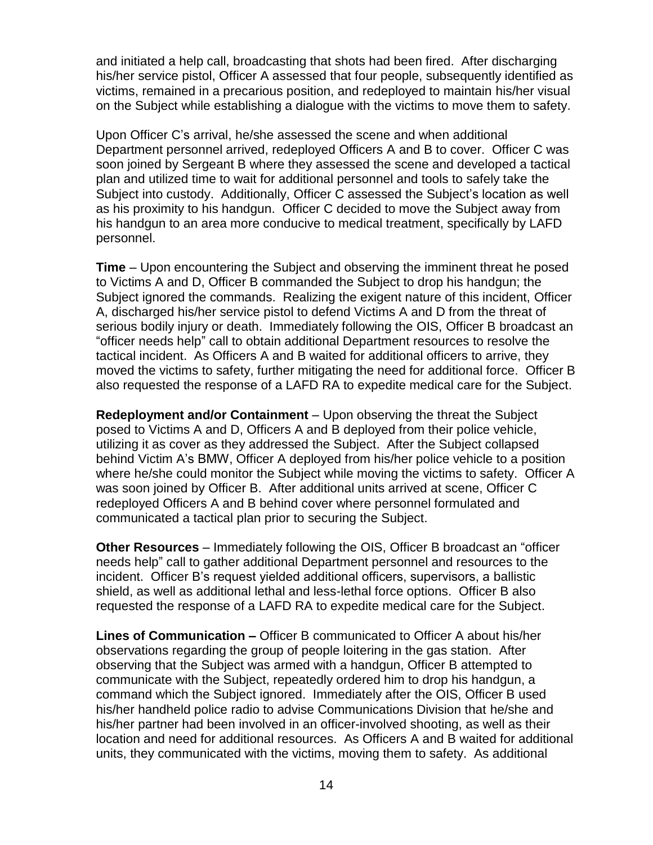and initiated a help call, broadcasting that shots had been fired. After discharging his/her service pistol, Officer A assessed that four people, subsequently identified as victims, remained in a precarious position, and redeployed to maintain his/her visual on the Subject while establishing a dialogue with the victims to move them to safety.

Upon Officer C's arrival, he/she assessed the scene and when additional Department personnel arrived, redeployed Officers A and B to cover. Officer C was soon joined by Sergeant B where they assessed the scene and developed a tactical plan and utilized time to wait for additional personnel and tools to safely take the Subject into custody. Additionally, Officer C assessed the Subject's location as well as his proximity to his handgun. Officer C decided to move the Subject away from his handgun to an area more conducive to medical treatment, specifically by LAFD personnel.

**Time** – Upon encountering the Subject and observing the imminent threat he posed to Victims A and D, Officer B commanded the Subject to drop his handgun; the Subject ignored the commands. Realizing the exigent nature of this incident, Officer A, discharged his/her service pistol to defend Victims A and D from the threat of serious bodily injury or death. Immediately following the OIS, Officer B broadcast an "officer needs help" call to obtain additional Department resources to resolve the tactical incident. As Officers A and B waited for additional officers to arrive, they moved the victims to safety, further mitigating the need for additional force. Officer B also requested the response of a LAFD RA to expedite medical care for the Subject.

**Redeployment and/or Containment** – Upon observing the threat the Subject posed to Victims A and D, Officers A and B deployed from their police vehicle, utilizing it as cover as they addressed the Subject. After the Subject collapsed behind Victim A's BMW, Officer A deployed from his/her police vehicle to a position where he/she could monitor the Subject while moving the victims to safety. Officer A was soon joined by Officer B. After additional units arrived at scene, Officer C redeployed Officers A and B behind cover where personnel formulated and communicated a tactical plan prior to securing the Subject.

**Other Resources** – Immediately following the OIS, Officer B broadcast an "officer needs help" call to gather additional Department personnel and resources to the incident. Officer B's request yielded additional officers, supervisors, a ballistic shield, as well as additional lethal and less-lethal force options. Officer B also requested the response of a LAFD RA to expedite medical care for the Subject.

**Lines of Communication –** Officer B communicated to Officer A about his/her observations regarding the group of people loitering in the gas station. After observing that the Subject was armed with a handgun, Officer B attempted to communicate with the Subject, repeatedly ordered him to drop his handgun, a command which the Subject ignored. Immediately after the OIS, Officer B used his/her handheld police radio to advise Communications Division that he/she and his/her partner had been involved in an officer-involved shooting, as well as their location and need for additional resources. As Officers A and B waited for additional units, they communicated with the victims, moving them to safety. As additional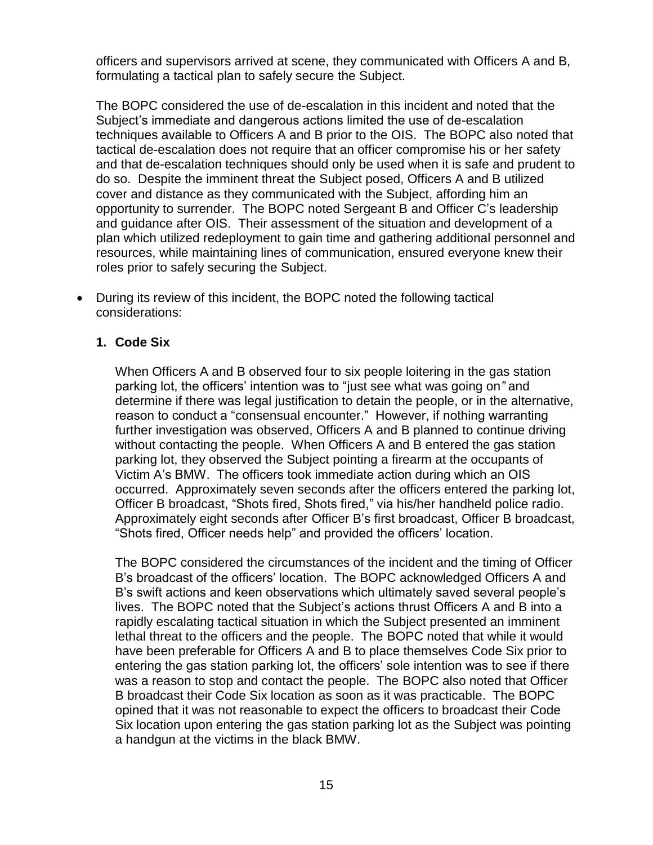officers and supervisors arrived at scene, they communicated with Officers A and B, formulating a tactical plan to safely secure the Subject.

The BOPC considered the use of de-escalation in this incident and noted that the Subject's immediate and dangerous actions limited the use of de-escalation techniques available to Officers A and B prior to the OIS. The BOPC also noted that tactical de-escalation does not require that an officer compromise his or her safety and that de-escalation techniques should only be used when it is safe and prudent to do so. Despite the imminent threat the Subject posed, Officers A and B utilized cover and distance as they communicated with the Subject, affording him an opportunity to surrender. The BOPC noted Sergeant B and Officer C's leadership and guidance after OIS. Their assessment of the situation and development of a plan which utilized redeployment to gain time and gathering additional personnel and resources, while maintaining lines of communication, ensured everyone knew their roles prior to safely securing the Subject.

• During its review of this incident, the BOPC noted the following tactical considerations:

## **1. Code Six**

When Officers A and B observed four to six people loitering in the gas station parking lot, the officers' intention was to "just see what was going on*"* and determine if there was legal justification to detain the people, or in the alternative, reason to conduct a "consensual encounter." However, if nothing warranting further investigation was observed, Officers A and B planned to continue driving without contacting the people. When Officers A and B entered the gas station parking lot, they observed the Subject pointing a firearm at the occupants of Victim A's BMW. The officers took immediate action during which an OIS occurred. Approximately seven seconds after the officers entered the parking lot, Officer B broadcast, "Shots fired, Shots fired," via his/her handheld police radio. Approximately eight seconds after Officer B's first broadcast, Officer B broadcast, "Shots fired, Officer needs help" and provided the officers' location.

The BOPC considered the circumstances of the incident and the timing of Officer B's broadcast of the officers' location. The BOPC acknowledged Officers A and B's swift actions and keen observations which ultimately saved several people's lives. The BOPC noted that the Subject's actions thrust Officers A and B into a rapidly escalating tactical situation in which the Subject presented an imminent lethal threat to the officers and the people. The BOPC noted that while it would have been preferable for Officers A and B to place themselves Code Six prior to entering the gas station parking lot, the officers' sole intention was to see if there was a reason to stop and contact the people. The BOPC also noted that Officer B broadcast their Code Six location as soon as it was practicable. The BOPC opined that it was not reasonable to expect the officers to broadcast their Code Six location upon entering the gas station parking lot as the Subject was pointing a handgun at the victims in the black BMW.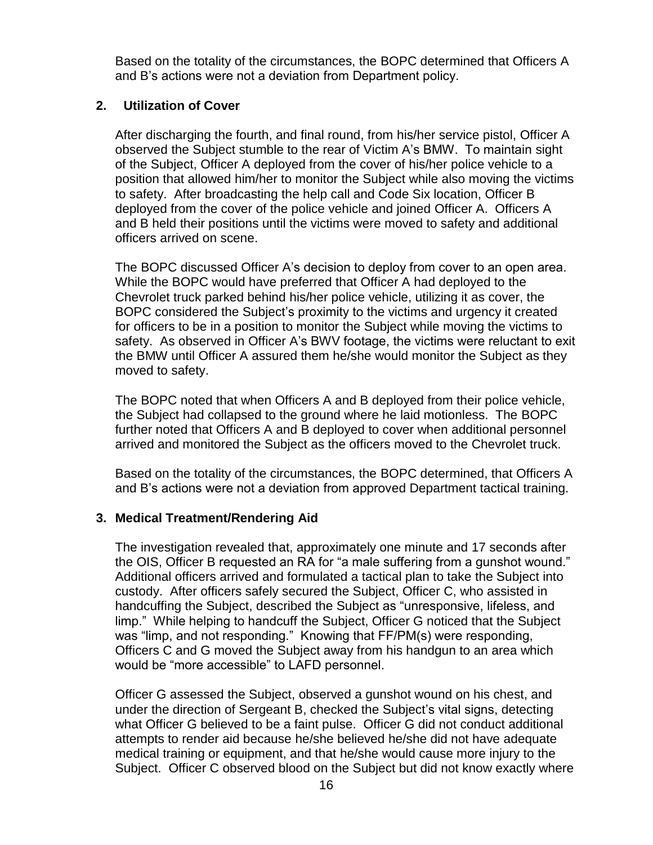Based on the totality of the circumstances, the BOPC determined that Officers A and B's actions were not a deviation from Department policy.

### **2. Utilization of Cover**

After discharging the fourth, and final round, from his/her service pistol, Officer A observed the Subject stumble to the rear of Victim A's BMW. To maintain sight of the Subject, Officer A deployed from the cover of his/her police vehicle to a position that allowed him/her to monitor the Subject while also moving the victims to safety. After broadcasting the help call and Code Six location, Officer B deployed from the cover of the police vehicle and joined Officer A. Officers A and B held their positions until the victims were moved to safety and additional officers arrived on scene.

The BOPC discussed Officer A's decision to deploy from cover to an open area. While the BOPC would have preferred that Officer A had deployed to the Chevrolet truck parked behind his/her police vehicle, utilizing it as cover, the BOPC considered the Subject's proximity to the victims and urgency it created for officers to be in a position to monitor the Subject while moving the victims to safety. As observed in Officer A's BWV footage, the victims were reluctant to exit the BMW until Officer A assured them he/she would monitor the Subject as they moved to safety.

The BOPC noted that when Officers A and B deployed from their police vehicle, the Subject had collapsed to the ground where he laid motionless. The BOPC further noted that Officers A and B deployed to cover when additional personnel arrived and monitored the Subject as the officers moved to the Chevrolet truck.

Based on the totality of the circumstances, the BOPC determined, that Officers A and B's actions were not a deviation from approved Department tactical training.

#### **3. Medical Treatment/Rendering Aid**

The investigation revealed that, approximately one minute and 17 seconds after the OIS, Officer B requested an RA for "a male suffering from a gunshot wound." Additional officers arrived and formulated a tactical plan to take the Subject into custody. After officers safely secured the Subject, Officer C, who assisted in handcuffing the Subject, described the Subject as "unresponsive, lifeless, and limp." While helping to handcuff the Subject, Officer G noticed that the Subject was "limp, and not responding." Knowing that FF/PM(s) were responding, Officers C and G moved the Subject away from his handgun to an area which would be "more accessible" to LAFD personnel.

Officer G assessed the Subject, observed a gunshot wound on his chest, and under the direction of Sergeant B, checked the Subject's vital signs, detecting what Officer G believed to be a faint pulse. Officer G did not conduct additional attempts to render aid because he/she believed he/she did not have adequate medical training or equipment, and that he/she would cause more injury to the Subject. Officer C observed blood on the Subject but did not know exactly where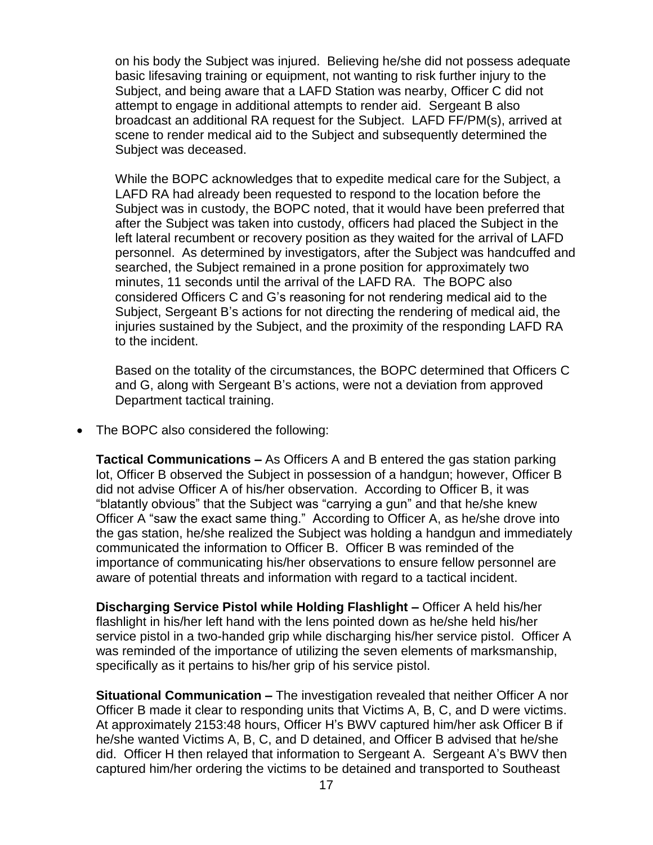on his body the Subject was injured. Believing he/she did not possess adequate basic lifesaving training or equipment, not wanting to risk further injury to the Subject, and being aware that a LAFD Station was nearby, Officer C did not attempt to engage in additional attempts to render aid. Sergeant B also broadcast an additional RA request for the Subject. LAFD FF/PM(s), arrived at scene to render medical aid to the Subject and subsequently determined the Subject was deceased.

While the BOPC acknowledges that to expedite medical care for the Subject, a LAFD RA had already been requested to respond to the location before the Subject was in custody, the BOPC noted, that it would have been preferred that after the Subject was taken into custody, officers had placed the Subject in the left lateral recumbent or recovery position as they waited for the arrival of LAFD personnel. As determined by investigators, after the Subject was handcuffed and searched, the Subject remained in a prone position for approximately two minutes, 11 seconds until the arrival of the LAFD RA. The BOPC also considered Officers C and G's reasoning for not rendering medical aid to the Subject, Sergeant B's actions for not directing the rendering of medical aid, the injuries sustained by the Subject, and the proximity of the responding LAFD RA to the incident.

Based on the totality of the circumstances, the BOPC determined that Officers C and G, along with Sergeant B's actions, were not a deviation from approved Department tactical training.

• The BOPC also considered the following:

**Tactical Communications –** As Officers A and B entered the gas station parking lot, Officer B observed the Subject in possession of a handgun; however, Officer B did not advise Officer A of his/her observation. According to Officer B, it was "blatantly obvious" that the Subject was "carrying a gun" and that he/she knew Officer A "saw the exact same thing." According to Officer A, as he/she drove into the gas station, he/she realized the Subject was holding a handgun and immediately communicated the information to Officer B.Officer B was reminded of the importance of communicating his/her observations to ensure fellow personnel are aware of potential threats and information with regard to a tactical incident.

**Discharging Service Pistol while Holding Flashlight –** Officer A held his/her flashlight in his/her left hand with the lens pointed down as he/she held his/her service pistol in a two-handed grip while discharging his/her service pistol.Officer A was reminded of the importance of utilizing the seven elements of marksmanship, specifically as it pertains to his/her grip of his service pistol.

**Situational Communication –** The investigation revealed that neither Officer A nor Officer B made it clear to responding units that Victims A, B, C, and D were victims. At approximately 2153:48 hours, Officer H's BWV captured him/her ask Officer B if he/she wanted Victims A, B, C, and D detained, and Officer B advised that he/she did. Officer H then relayed that information to Sergeant A. Sergeant A's BWV then captured him/her ordering the victims to be detained and transported to Southeast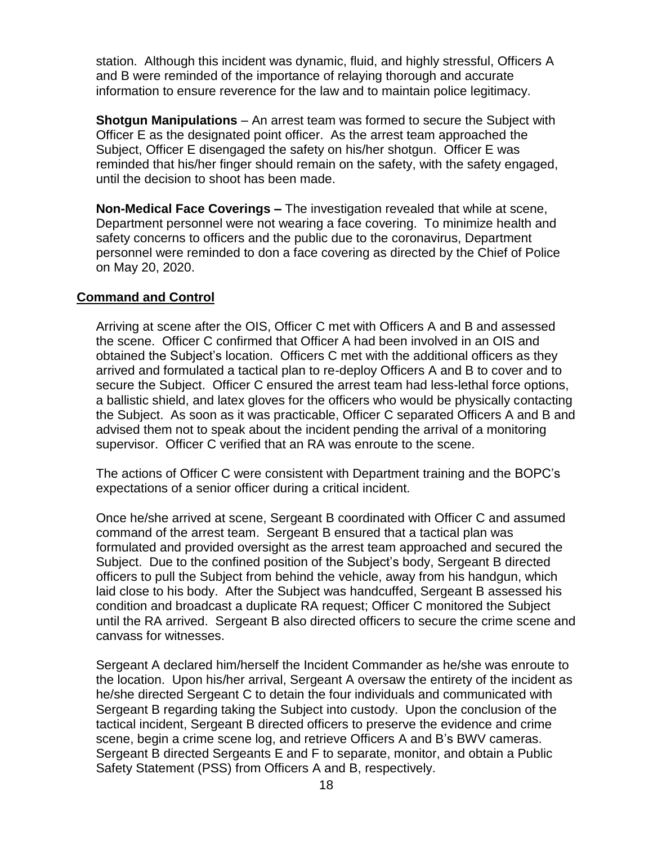station. Although this incident was dynamic, fluid, and highly stressful, Officers A and B were reminded of the importance of relaying thorough and accurate information to ensure reverence for the law and to maintain police legitimacy.

**Shotgun Manipulations** – An arrest team was formed to secure the Subject with Officer E as the designated point officer. As the arrest team approached the Subject, Officer E disengaged the safety on his/her shotgun. Officer E was reminded that his/her finger should remain on the safety, with the safety engaged, until the decision to shoot has been made.

**Non-Medical Face Coverings –** The investigation revealed that while at scene, Department personnel were not wearing a face covering. To minimize health and safety concerns to officers and the public due to the coronavirus, Department personnel were reminded to don a face covering as directed by the Chief of Police on May 20, 2020.

#### **Command and Control**

Arriving at scene after the OIS, Officer C met with Officers A and B and assessed the scene. Officer C confirmed that Officer A had been involved in an OIS and obtained the Subject's location. Officers C met with the additional officers as they arrived and formulated a tactical plan to re-deploy Officers A and B to cover and to secure the Subject. Officer C ensured the arrest team had less-lethal force options, a ballistic shield, and latex gloves for the officers who would be physically contacting the Subject. As soon as it was practicable, Officer C separated Officers A and B and advised them not to speak about the incident pending the arrival of a monitoring supervisor. Officer C verified that an RA was enroute to the scene.

The actions of Officer C were consistent with Department training and the BOPC's expectations of a senior officer during a critical incident.

Once he/she arrived at scene, Sergeant B coordinated with Officer C and assumed command of the arrest team. Sergeant B ensured that a tactical plan was formulated and provided oversight as the arrest team approached and secured the Subject. Due to the confined position of the Subject's body, Sergeant B directed officers to pull the Subject from behind the vehicle, away from his handgun, which laid close to his body. After the Subject was handcuffed, Sergeant B assessed his condition and broadcast a duplicate RA request; Officer C monitored the Subject until the RA arrived. Sergeant B also directed officers to secure the crime scene and canvass for witnesses.

Sergeant A declared him/herself the Incident Commander as he/she was enroute to the location. Upon his/her arrival, Sergeant A oversaw the entirety of the incident as he/she directed Sergeant C to detain the four individuals and communicated with Sergeant B regarding taking the Subject into custody. Upon the conclusion of the tactical incident, Sergeant B directed officers to preserve the evidence and crime scene, begin a crime scene log, and retrieve Officers A and B's BWV cameras. Sergeant B directed Sergeants E and F to separate, monitor, and obtain a Public Safety Statement (PSS) from Officers A and B, respectively.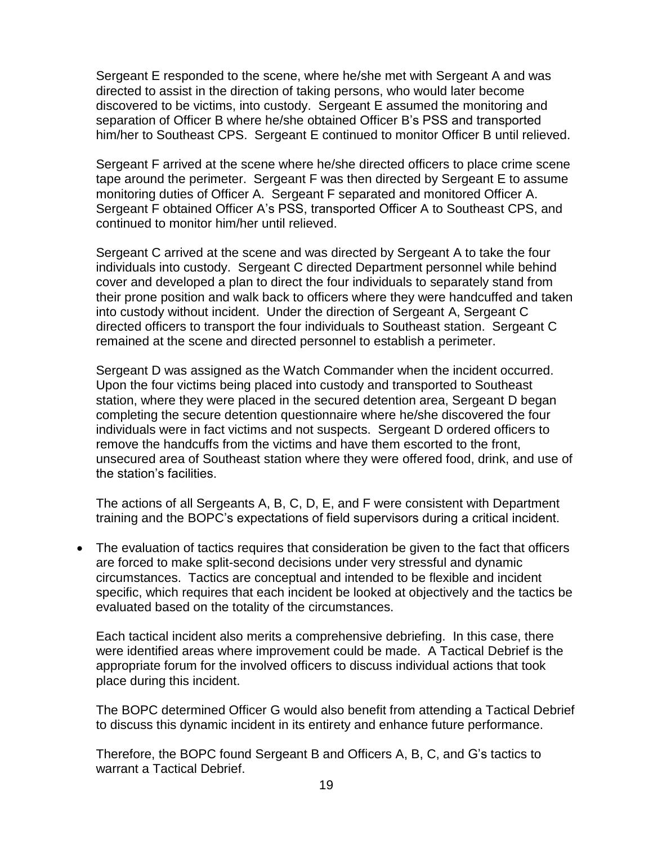Sergeant E responded to the scene, where he/she met with Sergeant A and was directed to assist in the direction of taking persons, who would later become discovered to be victims, into custody. Sergeant E assumed the monitoring and separation of Officer B where he/she obtained Officer B's PSS and transported him/her to Southeast CPS. Sergeant E continued to monitor Officer B until relieved.

Sergeant F arrived at the scene where he/she directed officers to place crime scene tape around the perimeter. Sergeant F was then directed by Sergeant E to assume monitoring duties of Officer A. Sergeant F separated and monitored Officer A. Sergeant F obtained Officer A's PSS, transported Officer A to Southeast CPS, and continued to monitor him/her until relieved.

Sergeant C arrived at the scene and was directed by Sergeant A to take the four individuals into custody. Sergeant C directed Department personnel while behind cover and developed a plan to direct the four individuals to separately stand from their prone position and walk back to officers where they were handcuffed and taken into custody without incident. Under the direction of Sergeant A, Sergeant C directed officers to transport the four individuals to Southeast station. Sergeant C remained at the scene and directed personnel to establish a perimeter.

Sergeant D was assigned as the Watch Commander when the incident occurred. Upon the four victims being placed into custody and transported to Southeast station, where they were placed in the secured detention area, Sergeant D began completing the secure detention questionnaire where he/she discovered the four individuals were in fact victims and not suspects. Sergeant D ordered officers to remove the handcuffs from the victims and have them escorted to the front, unsecured area of Southeast station where they were offered food, drink, and use of the station's facilities.

The actions of all Sergeants A, B, C, D, E, and F were consistent with Department training and the BOPC's expectations of field supervisors during a critical incident.

• The evaluation of tactics requires that consideration be given to the fact that officers are forced to make split-second decisions under very stressful and dynamic circumstances. Tactics are conceptual and intended to be flexible and incident specific, which requires that each incident be looked at objectively and the tactics be evaluated based on the totality of the circumstances.

Each tactical incident also merits a comprehensive debriefing. In this case, there were identified areas where improvement could be made. A Tactical Debrief is the appropriate forum for the involved officers to discuss individual actions that took place during this incident.

The BOPC determined Officer G would also benefit from attending a Tactical Debrief to discuss this dynamic incident in its entirety and enhance future performance.

Therefore, the BOPC found Sergeant B and Officers A, B, C, and G's tactics to warrant a Tactical Debrief.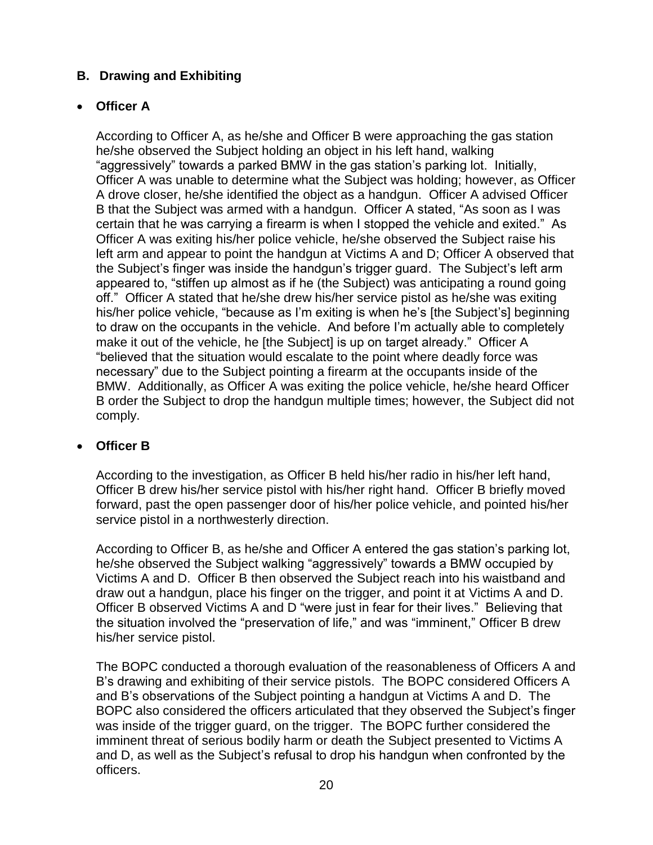# **B. Drawing and Exhibiting**

## • **Officer A**

According to Officer A, as he/she and Officer B were approaching the gas station he/she observed the Subject holding an object in his left hand, walking "aggressively" towards a parked BMW in the gas station's parking lot. Initially, Officer A was unable to determine what the Subject was holding; however, as Officer A drove closer, he/she identified the object as a handgun. Officer A advised Officer B that the Subject was armed with a handgun. Officer A stated, "As soon as I was certain that he was carrying a firearm is when I stopped the vehicle and exited." As Officer A was exiting his/her police vehicle, he/she observed the Subject raise his left arm and appear to point the handgun at Victims A and D; Officer A observed that the Subject's finger was inside the handgun's trigger guard. The Subject's left arm appeared to, "stiffen up almost as if he (the Subject) was anticipating a round going off." Officer A stated that he/she drew his/her service pistol as he/she was exiting his/her police vehicle, "because as I'm exiting is when he's [the Subject's] beginning to draw on the occupants in the vehicle. And before I'm actually able to completely make it out of the vehicle, he [the Subject] is up on target already." Officer A "believed that the situation would escalate to the point where deadly force was necessary" due to the Subject pointing a firearm at the occupants inside of the BMW. Additionally, as Officer A was exiting the police vehicle, he/she heard Officer B order the Subject to drop the handgun multiple times; however, the Subject did not comply.

## • **Officer B**

According to the investigation, as Officer B held his/her radio in his/her left hand, Officer B drew his/her service pistol with his/her right hand. Officer B briefly moved forward, past the open passenger door of his/her police vehicle, and pointed his/her service pistol in a northwesterly direction.

According to Officer B, as he/she and Officer A entered the gas station's parking lot, he/she observed the Subject walking "aggressively" towards a BMW occupied by Victims A and D. Officer B then observed the Subject reach into his waistband and draw out a handgun, place his finger on the trigger, and point it at Victims A and D. Officer B observed Victims A and D "were just in fear for their lives." Believing that the situation involved the "preservation of life," and was "imminent," Officer B drew his/her service pistol.

The BOPC conducted a thorough evaluation of the reasonableness of Officers A and B's drawing and exhibiting of their service pistols. The BOPC considered Officers A and B's observations of the Subject pointing a handgun at Victims A and D. The BOPC also considered the officers articulated that they observed the Subject's finger was inside of the trigger guard, on the trigger. The BOPC further considered the imminent threat of serious bodily harm or death the Subject presented to Victims A and D, as well as the Subject's refusal to drop his handgun when confronted by the officers.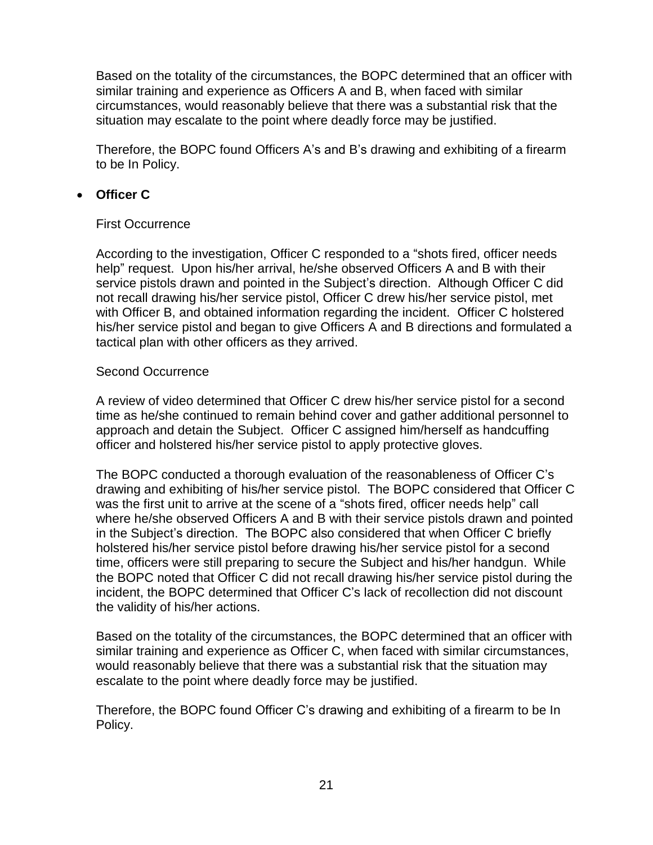Based on the totality of the circumstances, the BOPC determined that an officer with similar training and experience as Officers A and B, when faced with similar circumstances, would reasonably believe that there was a substantial risk that the situation may escalate to the point where deadly force may be justified.

Therefore, the BOPC found Officers A's and B's drawing and exhibiting of a firearm to be In Policy.

### • **Officer C**

#### First Occurrence

According to the investigation, Officer C responded to a "shots fired, officer needs help" request. Upon his/her arrival, he/she observed Officers A and B with their service pistols drawn and pointed in the Subject's direction. Although Officer C did not recall drawing his/her service pistol, Officer C drew his/her service pistol, met with Officer B, and obtained information regarding the incident. Officer C holstered his/her service pistol and began to give Officers A and B directions and formulated a tactical plan with other officers as they arrived.

#### Second Occurrence

A review of video determined that Officer C drew his/her service pistol for a second time as he/she continued to remain behind cover and gather additional personnel to approach and detain the Subject. Officer C assigned him/herself as handcuffing officer and holstered his/her service pistol to apply protective gloves.

The BOPC conducted a thorough evaluation of the reasonableness of Officer C's drawing and exhibiting of his/her service pistol. The BOPC considered that Officer C was the first unit to arrive at the scene of a "shots fired, officer needs help" call where he/she observed Officers A and B with their service pistols drawn and pointed in the Subject's direction. The BOPC also considered that when Officer C briefly holstered his/her service pistol before drawing his/her service pistol for a second time, officers were still preparing to secure the Subject and his/her handgun. While the BOPC noted that Officer C did not recall drawing his/her service pistol during the incident, the BOPC determined that Officer C's lack of recollection did not discount the validity of his/her actions.

Based on the totality of the circumstances, the BOPC determined that an officer with similar training and experience as Officer C, when faced with similar circumstances, would reasonably believe that there was a substantial risk that the situation may escalate to the point where deadly force may be justified.

Therefore, the BOPC found Officer C's drawing and exhibiting of a firearm to be In Policy.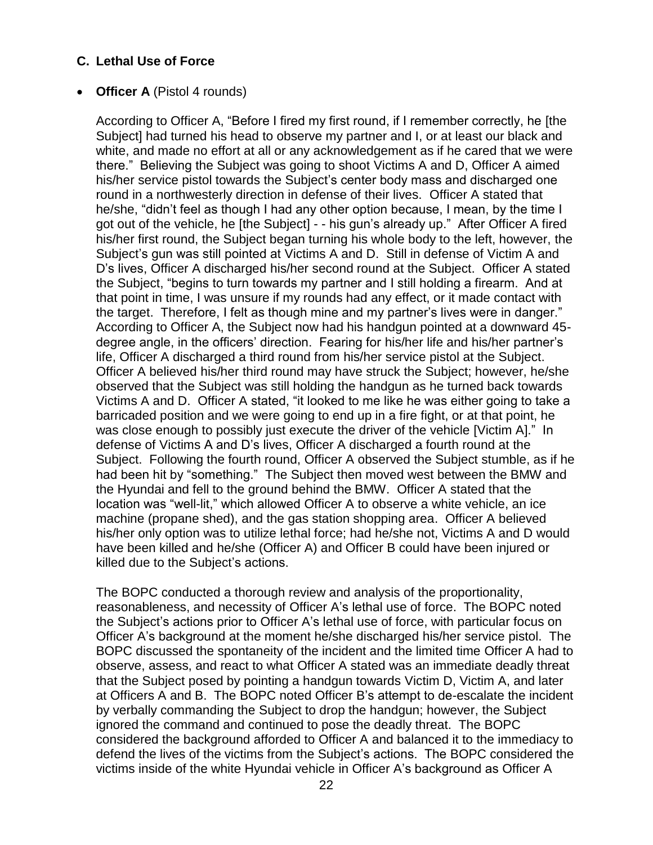### **C. Lethal Use of Force**

#### • **Officer A** (Pistol 4 rounds)

According to Officer A, "Before I fired my first round, if I remember correctly, he [the Subject] had turned his head to observe my partner and I, or at least our black and white, and made no effort at all or any acknowledgement as if he cared that we were there." Believing the Subject was going to shoot Victims A and D, Officer A aimed his/her service pistol towards the Subject's center body mass and discharged one round in a northwesterly direction in defense of their lives. Officer A stated that he/she, "didn't feel as though I had any other option because, I mean, by the time I got out of the vehicle, he [the Subject] - - his gun's already up." After Officer A fired his/her first round, the Subject began turning his whole body to the left, however, the Subject's gun was still pointed at Victims A and D. Still in defense of Victim A and D's lives, Officer A discharged his/her second round at the Subject. Officer A stated the Subject, "begins to turn towards my partner and I still holding a firearm. And at that point in time, I was unsure if my rounds had any effect, or it made contact with the target. Therefore, I felt as though mine and my partner's lives were in danger." According to Officer A, the Subject now had his handgun pointed at a downward 45 degree angle, in the officers' direction. Fearing for his/her life and his/her partner's life, Officer A discharged a third round from his/her service pistol at the Subject. Officer A believed his/her third round may have struck the Subject; however, he/she observed that the Subject was still holding the handgun as he turned back towards Victims A and D. Officer A stated, "it looked to me like he was either going to take a barricaded position and we were going to end up in a fire fight, or at that point, he was close enough to possibly just execute the driver of the vehicle [Victim A]." In defense of Victims A and D's lives, Officer A discharged a fourth round at the Subject. Following the fourth round, Officer A observed the Subject stumble, as if he had been hit by "something." The Subject then moved west between the BMW and the Hyundai and fell to the ground behind the BMW. Officer A stated that the location was "well-lit," which allowed Officer A to observe a white vehicle, an ice machine (propane shed), and the gas station shopping area. Officer A believed his/her only option was to utilize lethal force; had he/she not, Victims A and D would have been killed and he/she (Officer A) and Officer B could have been injured or killed due to the Subject's actions.

The BOPC conducted a thorough review and analysis of the proportionality, reasonableness, and necessity of Officer A's lethal use of force. The BOPC noted the Subject's actions prior to Officer A's lethal use of force, with particular focus on Officer A's background at the moment he/she discharged his/her service pistol. The BOPC discussed the spontaneity of the incident and the limited time Officer A had to observe, assess, and react to what Officer A stated was an immediate deadly threat that the Subject posed by pointing a handgun towards Victim D, Victim A, and later at Officers A and B. The BOPC noted Officer B's attempt to de-escalate the incident by verbally commanding the Subject to drop the handgun; however, the Subject ignored the command and continued to pose the deadly threat. The BOPC considered the background afforded to Officer A and balanced it to the immediacy to defend the lives of the victims from the Subject's actions. The BOPC considered the victims inside of the white Hyundai vehicle in Officer A's background as Officer A